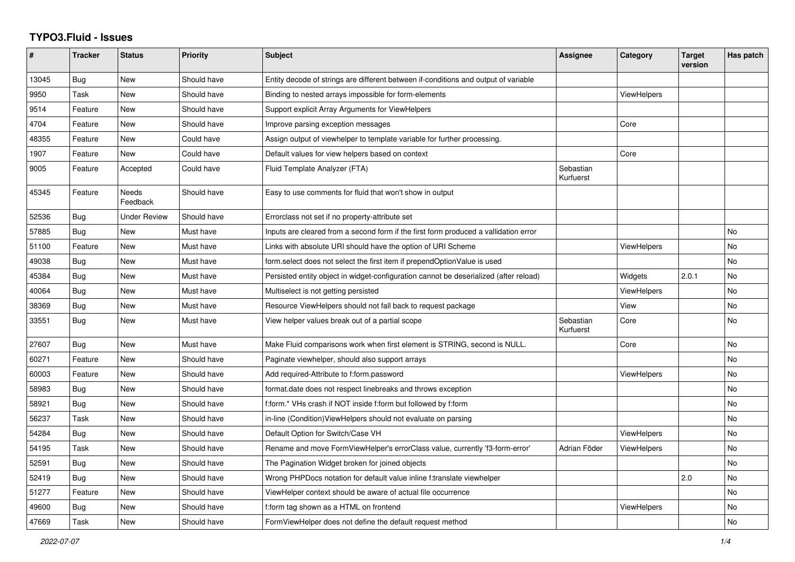## **TYPO3.Fluid - Issues**

| $\#$  | <b>Tracker</b> | <b>Status</b>     | <b>Priority</b> | <b>Subject</b>                                                                        | Assignee               | Category           | <b>Target</b><br>version | Has patch |
|-------|----------------|-------------------|-----------------|---------------------------------------------------------------------------------------|------------------------|--------------------|--------------------------|-----------|
| 13045 | Bug            | New               | Should have     | Entity decode of strings are different between if-conditions and output of variable   |                        |                    |                          |           |
| 9950  | Task           | New               | Should have     | Binding to nested arrays impossible for form-elements                                 |                        | <b>ViewHelpers</b> |                          |           |
| 9514  | Feature        | New               | Should have     | Support explicit Array Arguments for ViewHelpers                                      |                        |                    |                          |           |
| 4704  | Feature        | New               | Should have     | Improve parsing exception messages                                                    |                        | Core               |                          |           |
| 48355 | Feature        | New               | Could have      | Assign output of viewhelper to template variable for further processing.              |                        |                    |                          |           |
| 1907  | Feature        | New               | Could have      | Default values for view helpers based on context                                      |                        | Core               |                          |           |
| 9005  | Feature        | Accepted          | Could have      | Fluid Template Analyzer (FTA)                                                         | Sebastian<br>Kurfuerst |                    |                          |           |
| 45345 | Feature        | Needs<br>Feedback | Should have     | Easy to use comments for fluid that won't show in output                              |                        |                    |                          |           |
| 52536 | Bug            | Under Review      | Should have     | Errorclass not set if no property-attribute set                                       |                        |                    |                          |           |
| 57885 | Bug            | New               | Must have       | Inputs are cleared from a second form if the first form produced a vallidation error  |                        |                    |                          | No        |
| 51100 | Feature        | New               | Must have       | Links with absolute URI should have the option of URI Scheme                          |                        | <b>ViewHelpers</b> |                          | <b>No</b> |
| 49038 | Bug            | <b>New</b>        | Must have       | form.select does not select the first item if prependOptionValue is used              |                        |                    |                          | <b>No</b> |
| 45384 | Bug            | New               | Must have       | Persisted entity object in widget-configuration cannot be deserialized (after reload) |                        | Widgets            | 2.0.1                    | <b>No</b> |
| 40064 | Bug            | New               | Must have       | Multiselect is not getting persisted                                                  |                        | <b>ViewHelpers</b> |                          | No        |
| 38369 | Bug            | New               | Must have       | Resource ViewHelpers should not fall back to request package                          |                        | View               |                          | <b>No</b> |
| 33551 | Bug            | <b>New</b>        | Must have       | View helper values break out of a partial scope                                       | Sebastian<br>Kurfuerst | Core               |                          | <b>No</b> |
| 27607 | <b>Bug</b>     | New               | Must have       | Make Fluid comparisons work when first element is STRING, second is NULL.             |                        | Core               |                          | <b>No</b> |
| 60271 | Feature        | New               | Should have     | Paginate viewhelper, should also support arrays                                       |                        |                    |                          | No        |
| 60003 | Feature        | New               | Should have     | Add required-Attribute to f:form.password                                             |                        | ViewHelpers        |                          | No        |
| 58983 | Bug            | <b>New</b>        | Should have     | format.date does not respect linebreaks and throws exception                          |                        |                    |                          | <b>No</b> |
| 58921 | <b>Bug</b>     | <b>New</b>        | Should have     | f:form.* VHs crash if NOT inside f:form but followed by f:form                        |                        |                    |                          | <b>No</b> |
| 56237 | Task           | New               | Should have     | in-line (Condition) View Helpers should not evaluate on parsing                       |                        |                    |                          | No        |
| 54284 | Bug            | New               | Should have     | Default Option for Switch/Case VH                                                     |                        | <b>ViewHelpers</b> |                          | No        |
| 54195 | Task           | New               | Should have     | Rename and move FormViewHelper's errorClass value, currently 'f3-form-error'          | Adrian Föder           | ViewHelpers        |                          | <b>No</b> |
| 52591 | <b>Bug</b>     | New               | Should have     | The Pagination Widget broken for joined objects                                       |                        |                    |                          | <b>No</b> |
| 52419 | Bug            | New               | Should have     | Wrong PHPDocs notation for default value inline f:translate viewhelper                |                        |                    | 2.0                      | <b>No</b> |
| 51277 | Feature        | New               | Should have     | ViewHelper context should be aware of actual file occurrence                          |                        |                    |                          | No        |
| 49600 | Bug            | New               | Should have     | f:form tag shown as a HTML on frontend                                                |                        | <b>ViewHelpers</b> |                          | No        |
| 47669 | Task           | <b>New</b>        | Should have     | Form View Helper does not define the default request method                           |                        |                    |                          | <b>No</b> |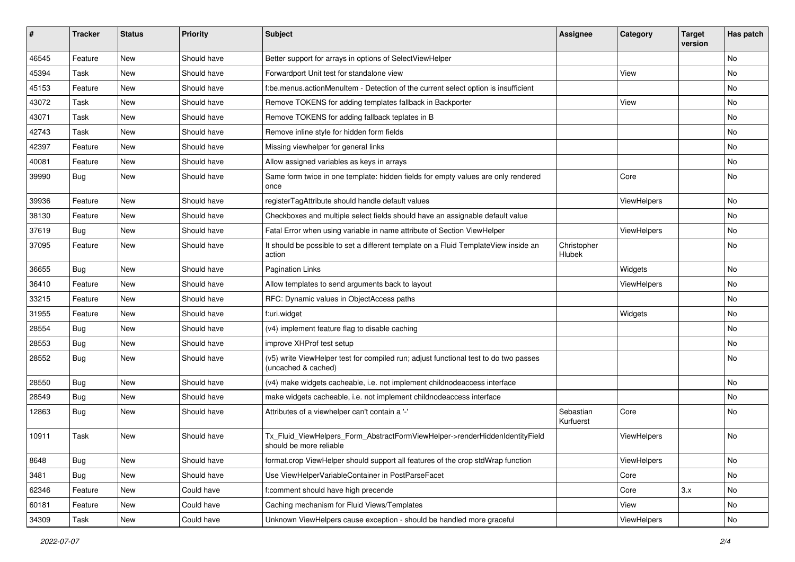| #     | <b>Tracker</b> | <b>Status</b> | <b>Priority</b> | <b>Subject</b>                                                                                              | <b>Assignee</b>        | Category    | <b>Target</b><br>version | Has patch |
|-------|----------------|---------------|-----------------|-------------------------------------------------------------------------------------------------------------|------------------------|-------------|--------------------------|-----------|
| 46545 | Feature        | New           | Should have     | Better support for arrays in options of SelectViewHelper                                                    |                        |             |                          | <b>No</b> |
| 45394 | Task           | New           | Should have     | Forwardport Unit test for standalone view                                                                   |                        | View        |                          | No        |
| 45153 | Feature        | New           | Should have     | f:be.menus.actionMenuItem - Detection of the current select option is insufficient                          |                        |             |                          | No        |
| 43072 | Task           | New           | Should have     | Remove TOKENS for adding templates fallback in Backporter                                                   |                        | View        |                          | No        |
| 43071 | Task           | New           | Should have     | Remove TOKENS for adding fallback teplates in B                                                             |                        |             |                          | No        |
| 42743 | Task           | New           | Should have     | Remove inline style for hidden form fields                                                                  |                        |             |                          | No        |
| 42397 | Feature        | New           | Should have     | Missing viewhelper for general links                                                                        |                        |             |                          | No        |
| 40081 | Feature        | New           | Should have     | Allow assigned variables as keys in arrays                                                                  |                        |             |                          | No        |
| 39990 | Bug            | New           | Should have     | Same form twice in one template: hidden fields for empty values are only rendered<br>once                   |                        | Core        |                          | No        |
| 39936 | Feature        | New           | Should have     | registerTagAttribute should handle default values                                                           |                        | ViewHelpers |                          | No        |
| 38130 | Feature        | New           | Should have     | Checkboxes and multiple select fields should have an assignable default value                               |                        |             |                          | No        |
| 37619 | Bug            | New           | Should have     | Fatal Error when using variable in name attribute of Section ViewHelper                                     |                        | ViewHelpers |                          | No        |
| 37095 | Feature        | New           | Should have     | It should be possible to set a different template on a Fluid TemplateView inside an<br>action               | Christopher<br>Hlubek  |             |                          | No        |
| 36655 | Bug            | New           | Should have     | <b>Pagination Links</b>                                                                                     |                        | Widgets     |                          | No        |
| 36410 | Feature        | New           | Should have     | Allow templates to send arguments back to layout                                                            |                        | ViewHelpers |                          | <b>No</b> |
| 33215 | Feature        | New           | Should have     | RFC: Dynamic values in ObjectAccess paths                                                                   |                        |             |                          | No        |
| 31955 | Feature        | New           | Should have     | f:uri.widget                                                                                                |                        | Widgets     |                          | <b>No</b> |
| 28554 | Bug            | New           | Should have     | (v4) implement feature flag to disable caching                                                              |                        |             |                          | No        |
| 28553 | Bug            | New           | Should have     | improve XHProf test setup                                                                                   |                        |             |                          | No        |
| 28552 | Bug            | New           | Should have     | (v5) write ViewHelper test for compiled run; adjust functional test to do two passes<br>(uncached & cached) |                        |             |                          | No        |
| 28550 | <b>Bug</b>     | New           | Should have     | (v4) make widgets cacheable, i.e. not implement childnodeaccess interface                                   |                        |             |                          | No        |
| 28549 | Bug            | New           | Should have     | make widgets cacheable, i.e. not implement childnodeaccess interface                                        |                        |             |                          | No        |
| 12863 | Bug            | New           | Should have     | Attributes of a viewhelper can't contain a '-'                                                              | Sebastian<br>Kurfuerst | Core        |                          | <b>No</b> |
| 10911 | Task           | New           | Should have     | Tx_Fluid_ViewHelpers_Form_AbstractFormViewHelper->renderHiddenIdentityField<br>should be more reliable      |                        | ViewHelpers |                          | No        |
| 8648  | Bug            | New           | Should have     | format.crop ViewHelper should support all features of the crop stdWrap function                             |                        | ViewHelpers |                          | No        |
| 3481  | Bug            | New           | Should have     | Use ViewHelperVariableContainer in PostParseFacet                                                           |                        | Core        |                          | No        |
| 62346 | Feature        | New           | Could have      | f:comment should have high precende                                                                         |                        | Core        | 3.x                      | No        |
| 60181 | Feature        | New           | Could have      | Caching mechanism for Fluid Views/Templates                                                                 |                        | View        |                          | No        |
| 34309 | Task           | New           | Could have      | Unknown ViewHelpers cause exception - should be handled more graceful                                       |                        | ViewHelpers |                          | No        |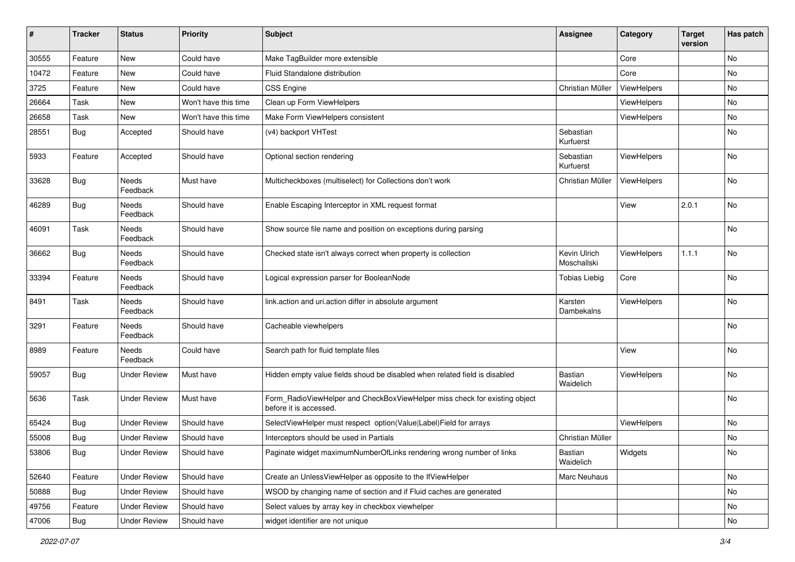| #     | <b>Tracker</b> | <b>Status</b>       | <b>Priority</b>      | <b>Subject</b>                                                                                       | <b>Assignee</b>             | Category    | <b>Target</b><br>version | Has patch |
|-------|----------------|---------------------|----------------------|------------------------------------------------------------------------------------------------------|-----------------------------|-------------|--------------------------|-----------|
| 30555 | Feature        | New                 | Could have           | Make TagBuilder more extensible                                                                      |                             | Core        |                          | No        |
| 10472 | Feature        | New                 | Could have           | Fluid Standalone distribution                                                                        |                             | Core        |                          | <b>No</b> |
| 3725  | Feature        | New                 | Could have           | <b>CSS Engine</b>                                                                                    | Christian Müller            | ViewHelpers |                          | No        |
| 26664 | Task           | New                 | Won't have this time | Clean up Form ViewHelpers                                                                            |                             | ViewHelpers |                          | <b>No</b> |
| 26658 | Task           | New                 | Won't have this time | Make Form ViewHelpers consistent                                                                     |                             | ViewHelpers |                          | No        |
| 28551 | Bug            | Accepted            | Should have          | (v4) backport VHTest                                                                                 | Sebastian<br>Kurfuerst      |             |                          | No        |
| 5933  | Feature        | Accepted            | Should have          | Optional section rendering                                                                           | Sebastian<br>Kurfuerst      | ViewHelpers |                          | No        |
| 33628 | Bug            | Needs<br>Feedback   | Must have            | Multicheckboxes (multiselect) for Collections don't work                                             | Christian Müller            | ViewHelpers |                          | No        |
| 46289 | Bug            | Needs<br>Feedback   | Should have          | Enable Escaping Interceptor in XML request format                                                    |                             | View        | 2.0.1                    | <b>No</b> |
| 46091 | Task           | Needs<br>Feedback   | Should have          | Show source file name and position on exceptions during parsing                                      |                             |             |                          | No        |
| 36662 | Bug            | Needs<br>Feedback   | Should have          | Checked state isn't always correct when property is collection                                       | Kevin Ulrich<br>Moschallski | ViewHelpers | 1.1.1                    | No        |
| 33394 | Feature        | Needs<br>Feedback   | Should have          | Logical expression parser for BooleanNode                                                            | <b>Tobias Liebig</b>        | Core        |                          | No        |
| 8491  | Task           | Needs<br>Feedback   | Should have          | link.action and uri.action differ in absolute argument                                               | Karsten<br>Dambekalns       | ViewHelpers |                          | No        |
| 3291  | Feature        | Needs<br>Feedback   | Should have          | Cacheable viewhelpers                                                                                |                             |             |                          | No        |
| 8989  | Feature        | Needs<br>Feedback   | Could have           | Search path for fluid template files                                                                 |                             | View        |                          | No        |
| 59057 | Bug            | <b>Under Review</b> | Must have            | Hidden empty value fields shoud be disabled when related field is disabled                           | <b>Bastian</b><br>Waidelich | ViewHelpers |                          | <b>No</b> |
| 5636  | Task           | <b>Under Review</b> | Must have            | Form_RadioViewHelper and CheckBoxViewHelper miss check for existing object<br>before it is accessed. |                             |             |                          | No        |
| 65424 | Bug            | <b>Under Review</b> | Should have          | SelectViewHelper must respect option(Value Label)Field for arrays                                    |                             | ViewHelpers |                          | No        |
| 55008 | <b>Bug</b>     | <b>Under Review</b> | Should have          | Interceptors should be used in Partials                                                              | Christian Müller            |             |                          | No        |
| 53806 | <b>Bug</b>     | <b>Under Review</b> | Should have          | Paginate widget maximumNumberOfLinks rendering wrong number of links                                 | Bastian<br>Waidelich        | Widgets     |                          | No        |
| 52640 | Feature        | <b>Under Review</b> | Should have          | Create an UnlessViewHelper as opposite to the IfViewHelper                                           | Marc Neuhaus                |             |                          | No        |
| 50888 | <b>Bug</b>     | <b>Under Review</b> | Should have          | WSOD by changing name of section and if Fluid caches are generated                                   |                             |             |                          | No        |
| 49756 | Feature        | <b>Under Review</b> | Should have          | Select values by array key in checkbox viewhelper                                                    |                             |             |                          | No        |
| 47006 | Bug            | <b>Under Review</b> | Should have          | widget identifier are not unique                                                                     |                             |             |                          | No        |